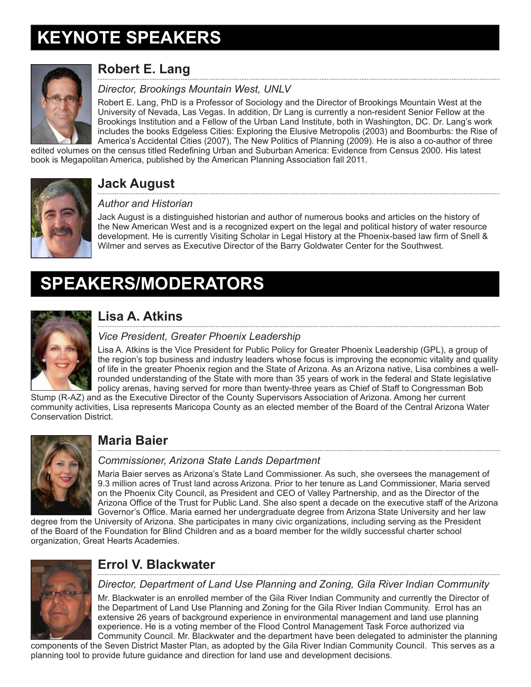# **KEYNOTE SPEAKERS**



# **Robert E. Lang**

### *Director, Brookings Mountain West, UNLV*

Robert E. Lang, PhD is a Professor of Sociology and the Director of Brookings Mountain West at the University of Nevada, Las Vegas. In addition, Dr Lang is currently a non-resident Senior Fellow at the Brookings Institution and a Fellow of the Urban Land Institute, both in Washington, DC. Dr. Lang's work includes the books Edgeless Cities: Exploring the Elusive Metropolis (2003) and Boomburbs: the Rise of America's Accidental Cities (2007), The New Politics of Planning (2009). He is also a co-author of three

edited volumes on the census titled Redefining Urban and Suburban America: Evidence from Census 2000. His latest book is Megapolitan America, published by the American Planning Association fall 2011.



### **Jack August**

#### *Author and Historian*

Jack August is a distinguished historian and author of numerous books and articles on the history of the New American West and is a recognized expert on the legal and political history of water resource development. He is currently Visiting Scholar in Legal History at the Phoenix-based law firm of Snell & Wilmer and serves as Executive Director of the Barry Goldwater Center for the Southwest.

# **SPEAKERS/MODERATORS**



# **Lisa A. Atkins**

#### *Vice President, Greater Phoenix Leadership*

Lisa A. Atkins is the Vice President for Public Policy for Greater Phoenix Leadership (GPL), a group of the region's top business and industry leaders whose focus is improving the economic vitality and quality of life in the greater Phoenix region and the State of Arizona. As an Arizona native, Lisa combines a wellrounded understanding of the State with more than 35 years of work in the federal and State legislative policy arenas, having served for more than twenty-three years as Chief of Staff to Congressman Bob

Stump (R-AZ) and as the Executive Director of the County Supervisors Association of Arizona. Among her current community activities, Lisa represents Maricopa County as an elected member of the Board of the Central Arizona Water Conservation District.



# **Maria Baier**

#### *Commissioner, Arizona State Lands Department*

Maria Baier serves as Arizona's State Land Commissioner. As such, she oversees the management of 9.3 million acres of Trust land across Arizona. Prior to her tenure as Land Commissioner, Maria served on the Phoenix City Council, as President and CEO of Valley Partnership, and as the Director of the Arizona Office of the Trust for Public Land. She also spent a decade on the executive staff of the Arizona Governor's Office. Maria earned her undergraduate degree from Arizona State University and her law

degree from the University of Arizona. She participates in many civic organizations, including serving as the President of the Board of the Foundation for Blind Children and as a board member for the wildly successful charter school organization, Great Hearts Academies.



# **Errol V. Blackwater**

*Director, Department of Land Use Planning and Zoning, Gila River Indian Community*

Mr. Blackwater is an enrolled member of the Gila River Indian Community and currently the Director of the Department of Land Use Planning and Zoning for the Gila River Indian Community. Errol has an extensive 26 years of background experience in environmental management and land use planning experience. He is a voting member of the Flood Control Management Task Force authorized via Community Council. Mr. Blackwater and the department have been delegated to administer the planning

components of the Seven District Master Plan, as adopted by the Gila River Indian Community Council. This serves as a planning tool to provide future guidance and direction for land use and development decisions.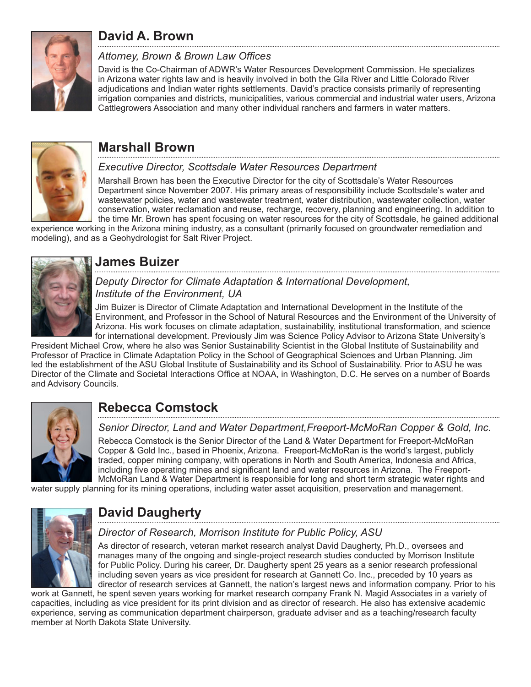

# **David A. Brown**

#### *Attorney, Brown & Brown Law Offices*

David is the Co-Chairman of ADWR's Water Resources Development Commission. He specializes in Arizona water rights law and is heavily involved in both the Gila River and Little Colorado River adjudications and Indian water rights settlements. David's practice consists primarily of representing irrigation companies and districts, municipalities, various commercial and industrial water users, Arizona Cattlegrowers Association and many other individual ranchers and farmers in water matters.



### **Marshall Brown**

#### *Executive Director, Scottsdale Water Resources Department*

Marshall Brown has been the Executive Director for the city of Scottsdale's Water Resources Department since November 2007. His primary areas of responsibility include Scottsdale's water and wastewater policies, water and wastewater treatment, water distribution, wastewater collection, water conservation, water reclamation and reuse, recharge, recovery, planning and engineering. In addition to the time Mr. Brown has spent focusing on water resources for the city of Scottsdale, he gained additional

experience working in the Arizona mining industry, as a consultant (primarily focused on groundwater remediation and modeling), and as a Geohydrologist for Salt River Project.



### **James Buizer**

*Deputy Director for Climate Adaptation & International Development, Institute of the Environment, UA* 

Jim Buizer is Director of Climate Adaptation and International Development in the Institute of the Environment, and Professor in the School of Natural Resources and the Environment of the University of Arizona. His work focuses on climate adaptation, sustainability, institutional transformation, and science for international development. Previously Jim was Science Policy Advisor to Arizona State University's

President Michael Crow, where he also was Senior Sustainability Scientist in the Global Institute of Sustainability and Professor of Practice in Climate Adaptation Policy in the School of Geographical Sciences and Urban Planning. Jim led the establishment of the ASU Global Institute of Sustainability and its School of Sustainability. Prior to ASU he was Director of the Climate and Societal Interactions Office at NOAA, in Washington, D.C. He serves on a number of Boards and Advisory Councils.



# **Rebecca Comstock**

*Senior Director, Land and Water Department,Freeport-McMoRan Copper & Gold, Inc.*

Rebecca Comstock is the Senior Director of the Land & Water Department for Freeport-McMoRan Copper & Gold Inc., based in Phoenix, Arizona. Freeport-McMoRan is the world's largest, publicly traded, copper mining company, with operations in North and South America, Indonesia and Africa, including five operating mines and significant land and water resources in Arizona. The Freeport-McMoRan Land & Water Department is responsible for long and short term strategic water rights and

water supply planning for its mining operations, including water asset acquisition, preservation and management.



# **David Daugherty**

#### *Director of Research, Morrison Institute for Public Policy, ASU*

As director of research, veteran market research analyst David Daugherty, Ph.D., oversees and manages many of the ongoing and single-project research studies conducted by Morrison Institute for Public Policy. During his career, Dr. Daugherty spent 25 years as a senior research professional including seven years as vice president for research at Gannett Co. Inc., preceded by 10 years as director of research services at Gannett, the nation's largest news and information company. Prior to his

work at Gannett, he spent seven years working for market research company Frank N. Magid Associates in a variety of capacities, including as vice president for its print division and as director of research. He also has extensive academic experience, serving as communication department chairperson, graduate adviser and as a teaching/research faculty member at North Dakota State University.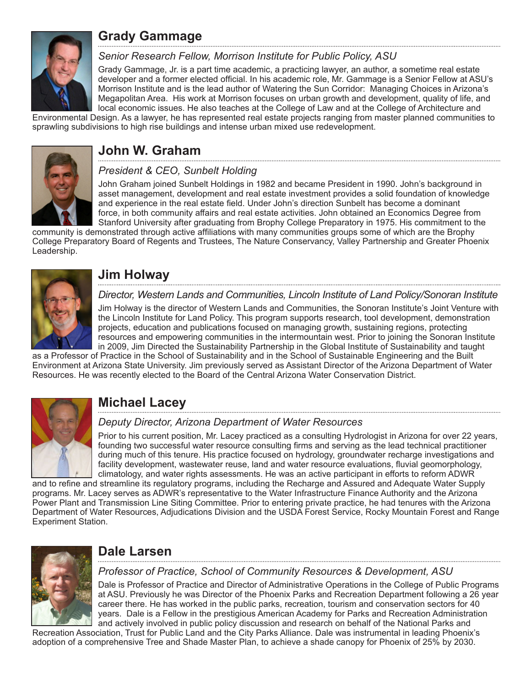

### **Grady Gammage**

#### *Senior Research Fellow, Morrison Institute for Public Policy, ASU*

Grady Gammage, Jr. is a part time academic, a practicing lawyer, an author, a sometime real estate developer and a former elected official. In his academic role, Mr. Gammage is a Senior Fellow at ASU's Morrison Institute and is the lead author of Watering the Sun Corridor: Managing Choices in Arizona's Megapolitan Area. His work at Morrison focuses on urban growth and development, quality of life, and local economic issues. He also teaches at the College of Law and at the College of Architecture and

Environmental Design. As a lawyer, he has represented real estate projects ranging from master planned communities to sprawling subdivisions to high rise buildings and intense urban mixed use redevelopment.



### **John W. Graham**

#### *President & CEO, Sunbelt Holding*

John Graham joined Sunbelt Holdings in 1982 and became President in 1990. John's background in asset management, development and real estate investment provides a solid foundation of knowledge and experience in the real estate field. Under John's direction Sunbelt has become a dominant force, in both community affairs and real estate activities. John obtained an Economics Degree from Stanford University after graduating from Brophy College Preparatory in 1975. His commitment to the

community is demonstrated through active affiliations with many communities groups some of which are the Brophy College Preparatory Board of Regents and Trustees, The Nature Conservancy, Valley Partnership and Greater Phoenix Leadership.



### **Jim Holway**

*Director, Western Lands and Communities, Lincoln Institute of Land Policy/Sonoran Institute*

Jim Holway is the director of Western Lands and Communities, the Sonoran Institute's Joint Venture with the Lincoln Institute for Land Policy. This program supports research, tool development, demonstration projects, education and publications focused on managing growth, sustaining regions, protecting resources and empowering communities in the intermountain west. Prior to joining the Sonoran Institute in 2009, Jim Directed the Sustainability Partnership in the Global Institute of Sustainability and taught

as a Professor of Practice in the School of Sustainability and in the School of Sustainable Engineering and the Built Environment at Arizona State University. Jim previously served as Assistant Director of the Arizona Department of Water Resources. He was recently elected to the Board of the Central Arizona Water Conservation District.



### **Michael Lacey**

#### *Deputy Director, Arizona Department of Water Resources*

Prior to his current position, Mr. Lacey practiced as a consulting Hydrologist in Arizona for over 22 years, founding two successful water resource consulting firms and serving as the lead technical practitioner during much of this tenure. His practice focused on hydrology, groundwater recharge investigations and facility development, wastewater reuse, land and water resource evaluations, fluvial geomorphology, climatology, and water rights assessments. He was an active participant in efforts to reform ADWR

and to refine and streamline its regulatory programs, including the Recharge and Assured and Adequate Water Supply programs. Mr. Lacey serves as ADWR's representative to the Water Infrastructure Finance Authority and the Arizona Power Plant and Transmission Line Siting Committee. Prior to entering private practice, he had tenures with the Arizona Department of Water Resources, Adjudications Division and the USDA Forest Service, Rocky Mountain Forest and Range Experiment Station.



### **Dale Larsen**

*Professor of Practice, School of Community Resources & Development, ASU*

Dale is Professor of Practice and Director of Administrative Operations in the College of Public Programs at ASU. Previously he was Director of the Phoenix Parks and Recreation Department following a 26 year career there. He has worked in the public parks, recreation, tourism and conservation sectors for 40 years. Dale is a Fellow in the prestigious American Academy for Parks and Recreation Administration and actively involved in public policy discussion and research on behalf of the National Parks and

Recreation Association, Trust for Public Land and the City Parks Alliance. Dale was instrumental in leading Phoenix's adoption of a comprehensive Tree and Shade Master Plan, to achieve a shade canopy for Phoenix of 25% by 2030.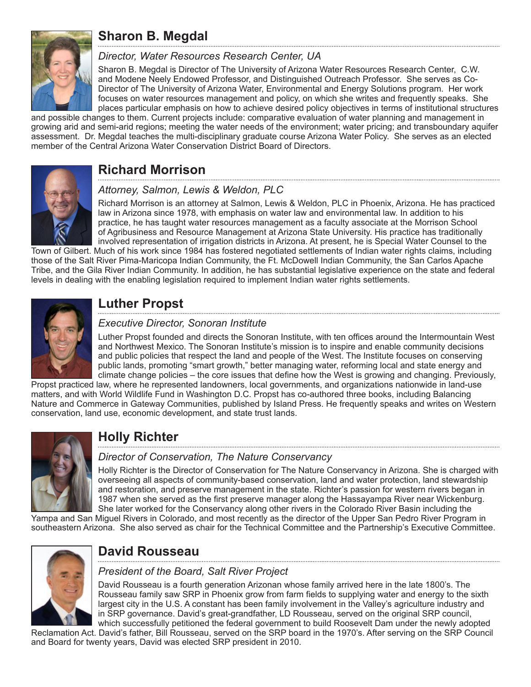

# **Sharon B. Megdal**

#### *Director, Water Resources Research Center, UA*

Sharon B. Megdal is Director of The University of Arizona Water Resources Research Center, C.W. and Modene Neely Endowed Professor, and Distinguished Outreach Professor. She serves as Co-Director of The University of Arizona Water, Environmental and Energy Solutions program. Her work focuses on water resources management and policy, on which she writes and frequently speaks. She places particular emphasis on how to achieve desired policy objectives in terms of institutional structures

and possible changes to them. Current projects include: comparative evaluation of water planning and management in growing arid and semi-arid regions; meeting the water needs of the environment; water pricing; and transboundary aquifer assessment. Dr. Megdal teaches the multi-disciplinary graduate course Arizona Water Policy. She serves as an elected member of the Central Arizona Water Conservation District Board of Directors.



### **Richard Morrison**

#### *Attorney, Salmon, Lewis & Weldon, PLC*

Richard Morrison is an attorney at Salmon, Lewis & Weldon, PLC in Phoenix, Arizona. He has practiced law in Arizona since 1978, with emphasis on water law and environmental law. In addition to his practice, he has taught water resources management as a faculty associate at the Morrison School of Agribusiness and Resource Management at Arizona State University. His practice has traditionally involved representation of irrigation districts in Arizona. At present, he is Special Water Counsel to the

Town of Gilbert. Much of his work since 1984 has fostered negotiated settlements of Indian water rights claims, including those of the Salt River Pima-Maricopa Indian Community, the Ft. McDowell Indian Community, the San Carlos Apache Tribe, and the Gila River Indian Community. In addition, he has substantial legislative experience on the state and federal levels in dealing with the enabling legislation required to implement Indian water rights settlements.



### **Luther Propst**

#### *Executive Director, Sonoran Institute*

Luther Propst founded and directs the Sonoran Institute, with ten offices around the Intermountain West and Northwest Mexico. The Sonoran Institute's mission is to inspire and enable community decisions and public policies that respect the land and people of the West. The Institute focuses on conserving public lands, promoting "smart growth," better managing water, reforming local and state energy and climate change policies – the core issues that define how the West is growing and changing. Previously,

Propst practiced law, where he represented landowners, local governments, and organizations nationwide in land-use matters, and with World Wildlife Fund in Washington D.C. Propst has co-authored three books, including Balancing Nature and Commerce in Gateway Communities, published by Island Press. He frequently speaks and writes on Western conservation, land use, economic development, and state trust lands.



# **Holly Richter**

#### *Director of Conservation, The Nature Conservancy*

Holly Richter is the Director of Conservation for The Nature Conservancy in Arizona. She is charged with overseeing all aspects of community-based conservation, land and water protection, land stewardship and restoration, and preserve management in the state. Richter's passion for western rivers began in 1987 when she served as the first preserve manager along the Hassayampa River near Wickenburg. She later worked for the Conservancy along other rivers in the Colorado River Basin including the

Yampa and San Miguel Rivers in Colorado, and most recently as the director of the Upper San Pedro River Program in southeastern Arizona. She also served as chair for the Technical Committee and the Partnership's Executive Committee.



### **David Rousseau**

#### *President of the Board, Salt River Project*

David Rousseau is a fourth generation Arizonan whose family arrived here in the late 1800's. The Rousseau family saw SRP in Phoenix grow from farm fields to supplying water and energy to the sixth largest city in the U.S. A constant has been family involvement in the Valley's agriculture industry and in SRP governance. David's great-grandfather, LD Rousseau, served on the original SRP council, which successfully petitioned the federal government to build Roosevelt Dam under the newly adopted

Reclamation Act. David's father, Bill Rousseau, served on the SRP board in the 1970's. After serving on the SRP Council and Board for twenty years, David was elected SRP president in 2010.